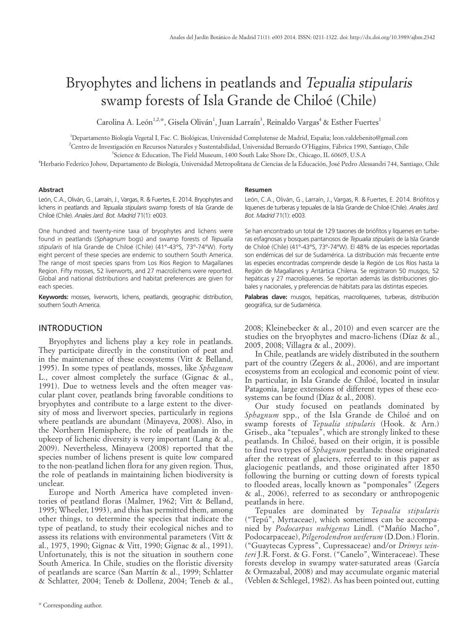# Bryophytes and lichens in peatlands and Tepualia stipularis swamp forests of Isla Grande de Chiloé (Chile)

Carolina A. León $^{1,2,\ast}$ , Gisela Oliván $^1$ , Juan Larraín $^3$ , Reinaldo Vargas $^4$  & Esther Fuertes $^1$ 

<sup>1</sup>Departamento Biología Vegetal I, Fac. C. Biológicas, Universidad Complutense de Madrid, España; leon.valdebenito@gmail.com 2 Centro de Investigación en Recursos Naturales y Sustentabilidad, Universidad Bernardo O'Higgins, Fábrica 1990, Santiago, Chile

<sup>3</sup>Science & Education, The Field Museum, 1400 South Lake Shore Dr., Chicago, IL 60605, U.S.A

4 Herbario Federico Johow, Departamento de Biología, Universidad Metropolitana de Ciencias de la Educación, José Pedro Alessandri 744, Santiago, Chile

## **Abstract**

León, C.A., Oliván, G., Larraín, J., Vargas, R. & Fuertes, E. 2014. Bryophytes and lichens in peatlands and *Tepualia stipularis* swamp forests of Isla Grande de Chiloé (Chile). *Anales Jard. Bot. Madrid* 71(1): e003.

One hundred and twenty-nine taxa of bryophytes and lichens were found in peatlands (*Sphagnum* bogs) and swamp forests of *Tepualia stipularis* of Isla Grande de Chiloé (Chile) (41°-43°S, 73°-74°W). Forty eight percent of these species are endemic to southern South America. The range of most species spans from Los Rios Region to Magallanes Region. Fifty mosses, 52 liverworts, and 27 macrolichens were reported. Global and national distributions and habitat preferences are given for each species.

**Keywords:** mosses, liverworts, lichens, peatlands, geographic distribution, southern South America.

## INTRODUCTION

Bryophytes and lichens play a key role in peatlands. They participate directly in the constitution of peat and in the maintenance of these ecosystems (Vitt & Belland, 1995). In some types of peatlands, mosses, like *Sphagnum*  L., cover almost completely the surface (Gignac & al., 1991). Due to wetness levels and the often meager vascular plant cover, peatlands bring favorable conditions to bryophytes and contribute to a large extent to the diversity of moss and liverwort species, particularly in regions where peatlands are abundant (Minayeva, 2008). Also, in the Northern Hemisphere, the role of peatlands in the upkeep of lichenic diversity is very important (Lang & al., 2009). Nevertheless, Minayeva (2008) reported that the species number of lichens present is quite low compared to the non-peatland lichen flora for any given region. Thus, the role of peatlands in maintaining lichen biodiversity is unclear.

Europe and North America have completed inventories of peatland floras (Malmer, 1962; Vitt & Belland, 1995; Wheeler, 1993), and this has permitted them, among other things, to determine the species that indicate the type of peatland, to study their ecological niches and to assess its relations with environmental parameters (Vitt & al., 1975, 1990; Gignac & Vitt, 1990; Gignac & al., 1991). Unfortunately, this is not the situation in southern cone South America. In Chile, studies on the floristic diversity of peatlands are scarce (San Martín & al., 1999; Schlatter & Schlatter, 2004; Teneb & Dollenz, 2004; Teneb & al.,

### **Resumen**

León, C.A., Oliván, G., Larraín, J., Vargas, R. & Fuertes, E. 2014. Briófitos y líquenes de turberas y tepuales de la Isla Grande de Chiloé (Chile). *Anales Jard. Bot. Madrid* 71(1): e003.

Se han encontrado un total de 129 taxones de briófitos y líquenes en turberas esfagnosas y bosques pantanosos de *Tepualia stipularis* de la Isla Grande de Chiloé (Chile) (41°-43°S, 73°-74°W). El 48% de las especies reportadas son endémicas del sur de Sudamérica. La distribución más frecuente entre las especies encontradas comprende desde la Región de Los Ríos hasta la Región de Magallanes y Antártica Chilena. Se registraron 50 musgos, 52 hepáticas y 27 macrolíquenes. Se reportan además las distribuciones globales y nacionales, y preferencias de hábitats para las distintas especies.

Palabras clave: musgos, hepáticas, macrolíquenes, turberas, distribución geográfica, sur de Sudamérica.

2008; Kleinebecker & al., 2010) and even scarcer are the studies on the bryophytes and macro-lichens (Díaz & al., 2005, 2008; Villagra & al., 2009).

In Chile, peatlands are widely distributed in the southern part of the country (Zegers & al., 2006), and are important ecosystems from an ecological and economic point of view. In particular, in Isla Grande de Chiloé, located in insular Patagonia, large extensions of different types of these ecosystems can be found (Díaz & al., 2008).

Our study focused on peatlands dominated by *Sphagnum* spp., of the Isla Grande de Chiloé and on swamp forests of *Tepualia stipularis* (Hook. & Arn.) Griseb., aka "tepuales", which are strongly linked to these peatlands. In Chiloé, based on their origin, it is possible to find two types of *Sphagnum* peatlands: those originated after the retreat of glaciers, referred to in this paper as glaciogenic peatlands, and those originated after 1850 following the burning or cutting down of forests typical to flooded areas, locally known as "pomponales" (Zegers & al., 2006), referred to as secondary or anthropogenic peatlands in here.

Tepuales are dominated by *Tepualia stipularis*  ("Tepú", Myrtaceae), which sometimes can be accompanied by *Podocarpus nubigenus* Lindl. ("Mañío Macho", Podocarpaceae), *Pilgerodendron uviferum* (D.Don.) Florin. ("Guaytecas Cypress", Cupressaceae) and/or *Drimys winteri* J.R. Forst. & G. Forst. ("Canelo", Winteraceae). These forests develop in swampy water-saturated areas (García & Ormazabal, 2008) and may accumulate organic material (Veblen & Schlegel, 1982). As has been pointed out, cutting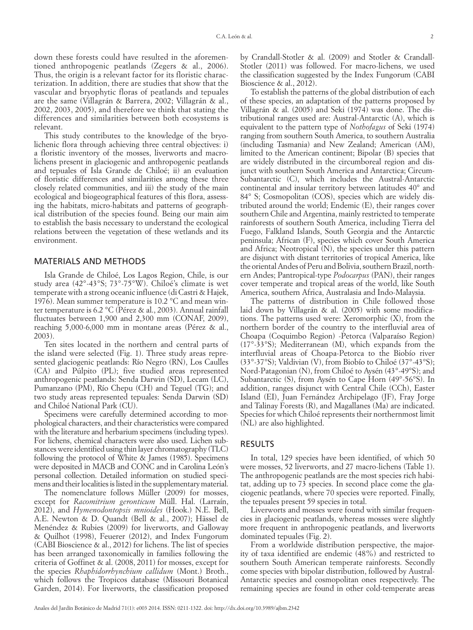down these forests could have resulted in the aforementioned anthropogenic peatlands (Zegers & al., 2006). Thus, the origin is a relevant factor for its floristic characterization. In addition, there are studies that show that the vascular and bryophytic floras of peatlands and tepuales are the same (Villagrán & Barrera, 2002; Villagrán & al., 2002, 2003, 2005), and therefore we think that stating the differences and similarities between both ecosystems is relevant.

This study contributes to the knowledge of the bryolichenic flora through achieving three central objectives: i) a floristic inventory of the mosses, liverworts and macrolichens present in glaciogenic and anthropogenic peatlands and tepuales of Isla Grande de Chiloé; ii) an evaluation of floristic differences and similarities among these three closely related communities, and iii) the study of the main ecological and biogeographical features of this flora, assessing the habitats, micro-habitats and patterns of geographical distribution of the species found. Being our main aim to establish the basis necessary to understand the ecological relations between the vegetation of these wetlands and its environment.

# MATERIALS AND METHODS

Isla Grande de Chiloé, Los Lagos Region, Chile, is our study area (42°-43°S; 73°-75°W). Chiloé's climate is wet temperate with a strong oceanic influence (di Castri & Hajek, 1976). Mean summer temperature is 10.2 °C and mean winter temperature is 6.2 °C (Pérez & al., 2003). Annual rainfall fluctuates between 1,900 and 2,300 mm (CONAF, 2009), reaching 5,000-6,000 mm in montane areas (Pérez & al., 2003).

Ten sites located in the northern and central parts of the island were selected (Fig. 1). Three study areas represented glaciogenic peatlands: Río Negro (RN), Los Caulles (CA) and Púlpito (PL); five studied areas represented anthropogenic peatlands: Senda Darwin (SD), Lecam (LC), Pumanzano (PM), Río Chepu (CH) and Teguel (TG); and two study areas represented tepuales: Senda Darwin (SD) and Chiloé National Park (CU).

Specimens were carefully determined according to morphological characters, and their characteristics were compared with the literature and herbarium specimens (including types). For lichens, chemical characters were also used. Lichen substances were identified using thin layer chromatography (TLC) following the protocol of White & James (1985). Specimens were deposited in MACB and CONC and in Carolina León's personal collection. Detailed information on studied specimens and their localities is listed in the supplementary material.

The nomenclature follows Müller (2009) for mosses, except for *Racomitrium geronticum* Müll. Hal. (Larraín, 2012), and *Hymenodontopsis mnioides* (Hook.) N.E. Bell, A.E. Newton & D. Quandt (Bell & al., 2007); Hässel de Menéndez & Rubies (2009) for liverworts, and Galloway & Quilhot (1998), Feuerer (2012), and Index Fungorum (CABI Bioscience & al., 2012) for lichens. The list of species has been arranged taxonomically in families following the criteria of Goffinet & al. (2008, 2011) for mosses, except for the species *Rhaphidorrhynchium callidum* (Mont.) Broth., which follows the Tropicos database (Missouri Botanical Garden, 2014). For liverworts, the classification proposed

by Crandall-Stotler & al. (2009) and Stotler & Crandall-Stotler (2011) was followed. For macro-lichens, we used the classification suggested by the Index Fungorum (CABI Bioscience & al., 2012).

To establish the patterns of the global distribution of each of these species, an adaptation of the patterns proposed by Villagrán & al. (2005) and Seki (1974) was done. The distributional ranges used are: Austral-Antarctic (A), which is equivalent to the pattern type of *Nothofagus* of Seki (1974) ranging from southern South America, to southern Australia (including Tasmania) and New Zealand; American (AM), limited to the American continent; Bipolar (B) species that are widely distributed in the circumboreal region and disjunct with southern South America and Antarctica; Circum-Subantarctic (C), which includes the Austral-Antarctic continental and insular territory between latitudes 40° and 84° S; Cosmopolitan (COS), species which are widely distributed around the world; Endemic (E), their ranges cover southern Chile and Argentina, mainly restricted to temperate rainforests of southern South America, including Tierra del Fuego, Falkland Islands, South Georgia and the Antarctic peninsula; African (F), species which cover South America and Africa; Neotropical (N), the species under this pattern are disjunct with distant territories of tropical America, like the oriental Andes of Peru and Bolivia, southern Brazil, northern Andes; Pantropical-type *Podocarpus* (PAN), their ranges cover temperate and tropical areas of the world, like South America, southern Africa, Australasia and Indo-Malaysia.

The patterns of distribution in Chile followed those laid down by Villagrán & al. (2005) with some modifications. The patterns used were: Xeromorphic (X), from the northern border of the country to the interfluvial area of Choapa (Coquimbo Region) -Petorca (Valparaíso Region) (17°-33°S); Mediterranean (M), which expands from the interfluvial areas of Choapa-Petorca to the Biobío river (33°-37°S); Valdivian (V), from Biobío to Chiloé (37°-43°S); Nord-Patagonian (N), from Chiloé to Aysén (43°-49°S); and Subantarctic (S), from Aysén to Cape Horn (49°-56°S). In addition, ranges disjunct with Central Chile (CCh), Easter Island (EI), Juan Fernández Archipelago (JF), Fray Jorge and Talinay Forests (R), and Magallanes (Ma) are indicated. Species for which Chiloé represents their northernmost limit (NL) are also highlighted.

# RESULTS

In total, 129 species have been identified, of which 50 were mosses, 52 liverworts, and 27 macro-lichens (Table 1). The anthropogenic peatlands are the most species rich habitat, adding up to 73 species. In second place come the glaciogenic peatlands, where 70 species were reported. Finally, the tepuales present 59 species in total.

Liverworts and mosses were found with similar frequencies in glaciogenic peatlands, whereas mosses were slightly more frequent in anthropogenic peatlands, and liverworts dominated tepuales (Fig. 2).

From a worldwide distribution perspective, the majority of taxa identified are endemic (48%) and restricted to southern South American temperate rainforests. Secondly come species with bipolar distribution, followed by Austral-Antarctic species and cosmopolitan ones respectively. The remaining species are found in other cold-temperate areas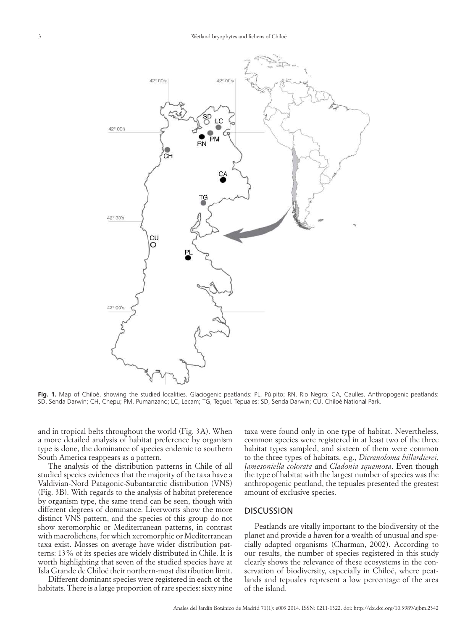#### 3 Wetland bryophytes and lichens of Chiloé



**Fig. 1.** Map of Chiloé, showing the studied localities. Glaciogenic peatlands: PL, Púlpito; RN, Rio Negro; CA, Caulles. Anthropogenic peatlands: SD, Senda Darwin; CH, Chepu; PM, Pumanzano; LC, Lecam; TG, Teguel. Tepuales: SD, Senda Darwin; CU, Chiloé National Park.

and in tropical belts throughout the world (Fig. 3A). When a more detailed analysis of habitat preference by organism type is done, the dominance of species endemic to southern South America reappears as a pattern.

The analysis of the distribution patterns in Chile of all studied species evidences that the majority of the taxa have a Valdivian-Nord Patagonic-Subantarctic distribution (VNS) (Fig. 3B). With regards to the analysis of habitat preference by organism type, the same trend can be seen, though with different degrees of dominance. Liverworts show the more distinct VNS pattern, and the species of this group do not show xeromorphic or Mediterranean patterns, in contrast with macrolichens, for which xeromorphic or Mediterranean taxa exist. Mosses on average have wider distribution patterns: 13% of its species are widely distributed in Chile. It is worth highlighting that seven of the studied species have at Isla Grande de Chiloé their northern-most distribution limit.

Different dominant species were registered in each of the habitats. There is a large proportion of rare species: sixty nine taxa were found only in one type of habitat. Nevertheless, common species were registered in at least two of the three habitat types sampled, and sixteen of them were common to the three types of habitats, e.g., *Dicranoloma billardierei*, *Jamesoniella colorata* and *Cladonia squamosa*. Even though the type of habitat with the largest number of species was the anthropogenic peatland, the tepuales presented the greatest amount of exclusive species.

# **DISCUSSION**

Peatlands are vitally important to the biodiversity of the planet and provide a haven for a wealth of unusual and specially adapted organisms (Charman, 2002). According to our results, the number of species registered in this study clearly shows the relevance of these ecosystems in the conservation of biodiversity, especially in Chiloé, where peatlands and tepuales represent a low percentage of the area of the island.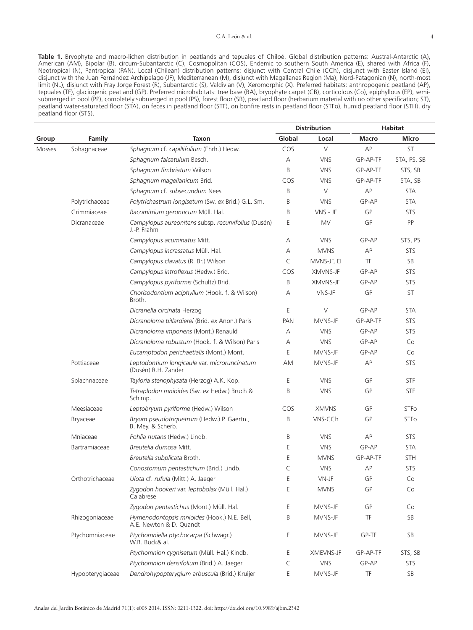**Table 1.** Bryophyte and macro-lichen distribution in peatlands and tepuales of Chiloé. Global distribution patterns: Austral-Antarctic (A), American (AM), Bipolar (B), circum-Subantarctic (C), Cosmopolitan (COS), Endemic to southern South America (E), shared with Africa (F), Neotropical (N), Pantropical (PAN). Local (Chilean) distribution patterns: disjunct with Central Chile (CCh), disjunct with Easter Island (EI), disjunct with the Juan Fernández Archipelago (JF), Mediterranean (M), disjunct with Magallanes Region (Ma), Nord-Patagonian (N), north-most limit (NL), disjunct with Fray Jorge Forest (R), Subantarctic (S), Valdivian (V), Xeromorphic (X). Preferred habitats: anthropogenic peatland (AP), tepuales (TF), glaciogenic peatland (GP). Preferred microhabitats: tree base (BA), bryophyte carpet (CB), corticolous (Co), epiphyllous (EP), semisubmerged in pool (PP), completely submerged in pool (PS), forest floor (SB), peatland floor (herbarium material with no other specification; ST), peatland water-saturated floor (STA), on feces in peatland floor (STF), on bonfire rests in peatland floor (STFo), humid peatland floor (STH), dry peatland floor (STS).

|        |                  |                                                                        | <b>Distribution</b> |              | <b>Habitat</b> |              |
|--------|------------------|------------------------------------------------------------------------|---------------------|--------------|----------------|--------------|
| Group  | Family           | <b>Taxon</b>                                                           | Global              | Local        | Macro          | <b>Micro</b> |
| Mosses | Sphagnaceae      | Sphagnum cf. capillifolium (Ehrh.) Hedw.                               | COS                 | V            | AP             | ST           |
|        |                  | Sphagnum falcatulum Besch.                                             | Α                   | <b>VNS</b>   | GP-AP-TF       | STA, PS, SB  |
|        |                  | Sphagnum fimbriatum Wilson                                             | B                   | <b>VNS</b>   | GP-AP-TF       | STS, SB      |
|        |                  | Sphagnum magellanicum Brid.                                            | COS                 | <b>VNS</b>   | GP-AP-TF       | STA, SB      |
|        |                  | Sphagnum cf. subsecundum Nees                                          | B                   | V            | AP             | <b>STA</b>   |
|        | Polytrichaceae   | Polytrichastrum longisetum (Sw. ex Brid.) G.L. Sm.                     | B                   | <b>VNS</b>   | GP-AP          | <b>STA</b>   |
|        | Grimmiaceae      | Racomitrium geronticum Müll. Hal.                                      | B                   | VNS - JF     | GP             | STS          |
|        | Dicranaceae      | Campylopus aureonitens subsp. recurvifolius (Dusén)<br>J.-P. Frahm     | E                   | <b>MV</b>    | GP             | PP           |
|        |                  | Campylopus acuminatus Mitt.                                            | А                   | <b>VNS</b>   | GP-AP          | STS, PS      |
|        |                  | Campylopus incrassatus Müll. Hal.                                      | Α                   | <b>MVNS</b>  | АP             | STS          |
|        |                  | Campylopus clavatus (R. Br.) Wilson                                    | $\subset$           | MVNS-JF, EI  | TF             | SB           |
|        |                  | Campylopus introflexus (Hedw.) Brid.                                   | COS                 | XMVNS-JF     | GP-AP          | <b>STS</b>   |
|        |                  | Campylopus pyriformis (Schultz) Brid.                                  | B                   | XMVNS-JF     | GP-AP          | STS          |
|        |                  | Chorisodontium aciphyllum (Hook. f. & Wilson)<br>Broth.                | А                   | VNS-JF       | GP             | <b>ST</b>    |
|        |                  | Dicranella circinata Herzog                                            | E                   | $\vee$       | GP-AP          | <b>STA</b>   |
|        |                  | Dicranoloma billardierei (Brid. ex Anon.) Paris                        | <b>PAN</b>          | MVNS-JF      | GP-AP-TF       | <b>STS</b>   |
|        |                  | Dicranoloma imponens (Mont.) Renauld                                   | Α                   | <b>VNS</b>   | GP-AP          | <b>STS</b>   |
|        |                  | Dicranoloma robustum (Hook. f. & Wilson) Paris                         | A                   | <b>VNS</b>   | GP-AP          | Co           |
|        |                  | Eucamptodon perichaetialis (Mont.) Mont.                               | E                   | MVNS-JF      | GP-AP          | Co           |
|        | Pottiaceae       | Leptodontium longicaule var. microruncinatum<br>(Dusén) R.H. Zander    | AM                  | MVNS-JF      | АP             | STS          |
|        | Splachnaceae     | Tayloria stenophysata (Herzog) A.K. Kop.                               | E                   | <b>VNS</b>   | GP             | <b>STF</b>   |
|        |                  | Tetraplodon mnioides (Sw. ex Hedw.) Bruch &<br>Schimp.                 | B                   | <b>VNS</b>   | GP             | <b>STF</b>   |
|        | Meesiaceae       | Leptobryum pyriforme (Hedw.) Wilson                                    | COS                 | <b>XMVNS</b> | GP             | <b>STFo</b>  |
|        | Bryaceae         | Bryum pseudotriquetrum (Hedw.) P. Gaertn.,<br>B. Mey. & Scherb.        | B                   | VNS-CCh      | GP             | STFo         |
|        | Mniaceae         | Pohlia nutans (Hedw.) Lindb.                                           | Β                   | <b>VNS</b>   | АP             | STS          |
|        | Bartramiaceae    | Breutelia dumosa Mitt.                                                 | Ε                   | <b>VNS</b>   | GP-AP          | <b>STA</b>   |
|        |                  | Breutelia subplicata Broth.                                            | E                   | <b>MVNS</b>  | GP-AP-TF       | <b>STH</b>   |
|        |                  | Conostomum pentastichum (Brid.) Lindb.                                 | C                   | <b>VNS</b>   | AP             | <b>STS</b>   |
|        | Orthotrichaceae  | Ulota cf. rufula (Mitt.) A. Jaeger                                     | Ε                   | VN-JF        | GP             | Co           |
|        |                  | Zygodon hookeri var. leptobolax (Müll. Hal.)<br>Calabrese              | E                   | <b>MVNS</b>  | GP             | Co           |
|        |                  | Zygodon pentastichus (Mont.) Müll. Hal.                                | Ε                   | MVNS-JF      | GP             | Co           |
|        | Rhizogoniaceae   | Hymenodontopsis mnioides (Hook.) N.E. Bell,<br>A.E. Newton & D. Quandt | Β                   | MVNS-JF      | TF             | SB           |
|        | Ptychomniaceae   | Ptychomniella ptychocarpa (Schwägr.)<br>W.R. Buck& al.                 | Ε                   | MVNS-JF      | GP-TF          | SB           |
|        |                  | Ptychomnion cygnisetum (Müll. Hal.) Kindb.                             | Ε                   | XMEVNS-JF    | GP-AP-TF       | STS, SB      |
|        |                  | Ptychomnion densifolium (Brid.) A. Jaeger                              | C                   | <b>VNS</b>   | GP-AP          | <b>STS</b>   |
|        | Hypopterygiaceae | Dendrohypopterygium arbuscula (Brid.) Kruijer                          | Ε                   | MVNS-JF      | TF             | SB           |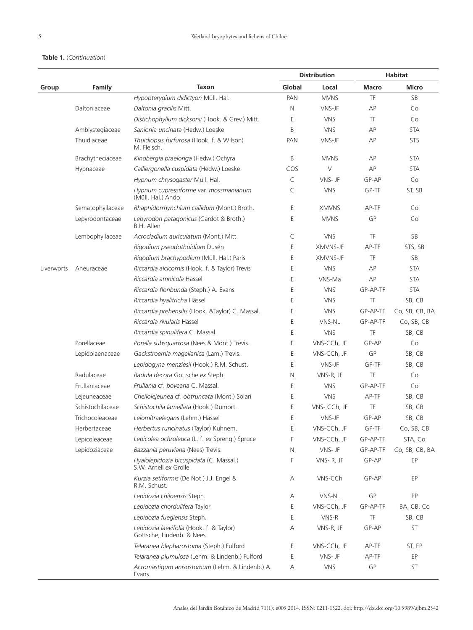# **Table 1.** (*Continuation*)

|            |                  |                                                                       | <b>Distribution</b> |              | Habitat  |                |
|------------|------------------|-----------------------------------------------------------------------|---------------------|--------------|----------|----------------|
| Group      | Family           | <b>Taxon</b>                                                          | Global              | Local        | Macro    | <b>Micro</b>   |
|            |                  | Hypopterygium didictyon Müll. Hal.                                    | PAN                 | <b>MVNS</b>  | TF       | SB             |
|            | Daltoniaceae     | Daltonia gracilis Mitt.                                               | Ν                   | VNS-JF       | AP       | Co             |
|            |                  | Distichophyllum dicksonii (Hook. & Grev.) Mitt.                       | Ε                   | <b>VNS</b>   | TF       | Co             |
|            | Amblystegiaceae  | Sanionia uncinata (Hedw.) Loeske                                      | B                   | <b>VNS</b>   | AP       | <b>STA</b>     |
|            | Thuidiaceae      | Thuidiopsis furfurosa (Hook. f. & Wilson)<br>M. Fleisch.              | PAN                 | VNS-JF       | AP       | <b>STS</b>     |
|            | Brachytheciaceae | Kindbergia praelonga (Hedw.) Ochyra                                   | B                   | <b>MVNS</b>  | AP       | <b>STA</b>     |
|            | Hypnaceae        | Calliergonella cuspidata (Hedw.) Loeske                               | COS                 | $\vee$       | AP       | <b>STA</b>     |
|            |                  | Hypnum chrysogaster Müll. Hal.                                        | C                   | VNS-JF       | GP-AP    | Co             |
|            |                  | Hypnum cupressiforme var. mossmanianum<br>(Müll. Hal.) Ando           | C                   | <b>VNS</b>   | GP-TF    | ST, SB         |
|            | Sematophyllaceae | Rhaphidorrhynchium callidum (Mont.) Broth.                            | Ε                   | <b>XMVNS</b> | AP-TF    | Co             |
|            | Lepyrodontaceae  | Lepyrodon patagonicus (Cardot & Broth.)<br>B.H. Allen                 | Ε                   | <b>MVNS</b>  | GP       | Co             |
|            | Lembophyllaceae  | Acrocladium auriculatum (Mont.) Mitt.                                 | C                   | <b>VNS</b>   | TF       | SB             |
|            |                  | Rigodium pseudothuidium Dusén                                         | Ε                   | XMVNS-JF     | AP-TF    | STS, SB        |
|            |                  | Rigodium brachypodium (Müll. Hal.) Paris                              | Ε                   | XMVNS-JF     | TF       | SB             |
| Liverworts | Aneuraceae       | Riccardia alcicornis (Hook. f. & Taylor) Trevis                       | Ε                   | <b>VNS</b>   | AP       | <b>STA</b>     |
|            |                  | Riccardia amnicola Hässel                                             | Ε                   | VNS-Ma       | AP       | <b>STA</b>     |
|            |                  | Riccardia floribunda (Steph.) A. Evans                                | E                   | <b>VNS</b>   | GP-AP-TF | <b>STA</b>     |
|            |                  | Riccardia hyalitricha Hässel                                          | Ε                   | <b>VNS</b>   | TF       | SB, CB         |
|            |                  | Riccardia prehensilis (Hook. & Taylor) C. Massal.                     | Ε                   | <b>VNS</b>   | GP-AP-TF | Co, SB, CB, BA |
|            |                  | Riccardia rivularis Hässel                                            | Ε                   | VNS-NL       | GP-AP-TF | Co, SB, CB     |
|            |                  | Riccardia spinulifera C. Massal.                                      | Ε                   | <b>VNS</b>   | TF       | SB, CB         |
|            | Porellaceae      | Porella subsquarrosa (Nees & Mont.) Trevis.                           | E                   | VNS-CCh, JF  | GP-AP    | Co             |
|            | Lepidolaenaceae  | Gackstroemia magellanica (Lam.) Trevis.                               | Ε                   | VNS-CCh, JF  | GP       | SB, CB         |
|            |                  | Lepidogyna menziesii (Hook.) R.M. Schust.                             | E                   | VNS-JF       | GP-TF    | SB, CB         |
|            | Radulaceae       | Radula decora Gottsche ex Steph.                                      | N                   | VNS-R, JF    | TF       | Co             |
|            | Frullaniaceae    | Frullania cf. boveana C. Massal.                                      | Ε                   | <b>VNS</b>   | GP-AP-TF | Co             |
|            | Lejeuneaceae     | Cheilolejeunea cf. obtruncata (Mont.) Solari                          | E                   | <b>VNS</b>   | AP-TF    | SB, CB         |
|            | Schistochilaceae | Schistochila lamellata (Hook.) Dumort.                                | Ε                   | VNS- CCh, JF | TF       | SB, CB         |
|            | Trichocoleaceae  | Leiomitraelegans (Lehm.) Hässel                                       | E                   | VNS-JF       | GP-AP    | SB, CB         |
|            | Herbertaceae     | Herbertus runcinatus (Taylor) Kuhnem.                                 | Ε                   | VNS-CCh, JF  | GP-TF    | Co, SB, CB     |
|            | Lepicoleaceae    | Lepicolea ochroleuca (L. f. ex Spreng.) Spruce                        | F                   | VNS-CCh, JF  | GP-AP-TF | STA, Co        |
|            | Lepidoziaceae    | Bazzania peruviana (Nees) Trevis.                                     | N                   | VNS-JF       | GP-AP-TF | Co, SB, CB, BA |
|            |                  | Hyalolepidozia bicuspidata (C. Massal.)<br>S.W. Arnell ex Grolle      | F                   | VNS-R, JF    | GP-AP    | EP             |
|            |                  | Kurzia setiformis (De Not.) J.J. Engel &<br>R.M. Schust.              | Α                   | VNS-CCh      | GP-AP    | EP             |
|            |                  | Lepidozia chiloensis Steph.                                           | Α                   | VNS-NL       | GP       | PP             |
|            |                  | Lepidozia chordulifera Taylor                                         | Ε                   | VNS-CCh, JF  | GP-AP-TF | BA, CB, Co     |
|            |                  | Lepidozia fuegiensis Steph.                                           | Ε                   | VNS-R        | TF       | SB, CB         |
|            |                  | Lepidozia laevifolia (Hook. f. & Taylor)<br>Gottsche, Lindenb. & Nees | Α                   | VNS-R, JF    | GP-AP    | ST             |
|            |                  | Telaranea blepharostoma (Steph.) Fulford                              | Ε                   | VNS-CCh, JF  | AP-TF    | ST, EP         |
|            |                  | Telaranea plumulosa (Lehm. & Lindenb.) Fulford                        | Ε                   | VNS-JF       | AP-TF    | EP             |
|            |                  | Acromastigum anisostomum (Lehm. & Lindenb.) A.<br>Evans               | Α                   | <b>VNS</b>   | GP       | ST             |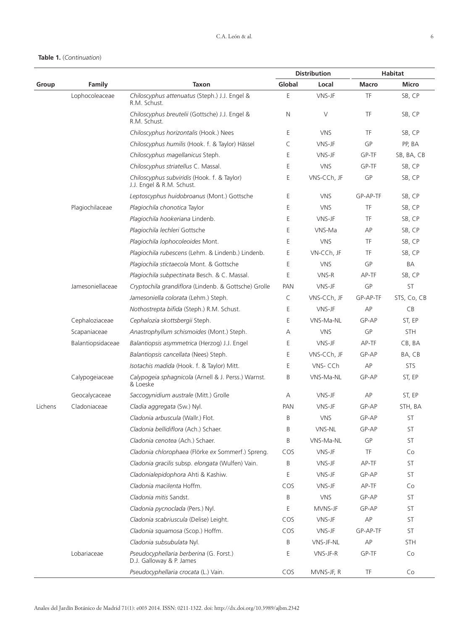# **Table 1.** (*Continuation*)

|         |                   |                                                                          | <b>Distribution</b> |             | <b>Habitat</b> |              |
|---------|-------------------|--------------------------------------------------------------------------|---------------------|-------------|----------------|--------------|
| Group   | Family            | <b>Taxon</b>                                                             | Global              | Local       | Macro          | <b>Micro</b> |
|         | Lophocoleaceae    | Chiloscyphus attenuatus (Steph.) J.J. Engel &<br>R.M. Schust.            | E                   | VNS-JF      | TF             | SB, CP       |
|         |                   | Chiloscyphus breutelii (Gottsche) J.J. Engel &<br>R.M. Schust.           | N                   | $\vee$      | TF             | SB, CP       |
|         |                   | Chiloscyphus horizontalis (Hook.) Nees                                   | Ε                   | <b>VNS</b>  | TF             | SB, CP       |
|         |                   | Chiloscyphus humilis (Hook. f. & Taylor) Hässel                          | C                   | VNS-JF      | GP             | PP, BA       |
|         |                   | Chiloscyphus magellanicus Steph.                                         | Ε                   | VNS-JF      | GP-TF          | SB, BA, CB   |
|         |                   | Chiloscyphus striatellus C. Massal.                                      | Ε                   | <b>VNS</b>  | GP-TF          | SB, CP       |
|         |                   | Chiloscyphus subviridis (Hook. f. & Taylor)<br>J.J. Engel & R.M. Schust. | Ε                   | VNS-CCh, JF | GP             | SB, CP       |
|         |                   | Leptoscyphus huidobroanus (Mont.) Gottsche                               | Ε                   | <b>VNS</b>  | GP-AP-TF       | SB, CP       |
|         | Plagiochilaceae   | Plagiochila chonotica Taylor                                             | E                   | <b>VNS</b>  | TF             | SB, CP       |
|         |                   | Plagiochila hookeriana Lindenb.                                          | Ε                   | VNS-JF      | TF             | SB, CP       |
|         |                   | Plagiochila lechleri Gottsche                                            | Ε                   | VNS-Ma      | AP             | SB, CP       |
|         |                   | Plagiochila lophocoleoides Mont.                                         | E                   | <b>VNS</b>  | TF             | SB, CP       |
|         |                   | Plagiochila rubescens (Lehm. & Lindenb.) Lindenb.                        | Ε                   | VN-CCh, JF  | TF             | SB, CP       |
|         |                   | Plagiochila stictaecola Mont. & Gottsche                                 | Ε                   | <b>VNS</b>  | GP             | BA           |
|         |                   | Plagiochila subpectinata Besch. & C. Massal.                             | E                   | VNS-R       | AP-TF          | SB, CP       |
|         | Jamesoniellaceae  | Cryptochila grandiflora (Lindenb. & Gottsche) Grolle                     | <b>PAN</b>          | VNS-JF      | GP             | ST           |
|         |                   | Jamesoniella colorata (Lehm.) Steph.                                     | C                   | VNS-CCh, JF | GP-AP-TF       | STS, Co, CB  |
|         |                   | Nothostrepta bifida (Steph.) R.M. Schust.                                | Ε                   | VNS-JF      | AP             | CB           |
|         | Cephaloziaceae    | Cephalozia skottsbergii Steph.                                           | Ε                   | VNS-Ma-NL   | GP-AP          | ST, EP       |
|         | Scapaniaceae      | Anastrophyllum schismoides (Mont.) Steph.                                | Α                   | <b>VNS</b>  | GP             | <b>STH</b>   |
|         | Balantiopsidaceae | Balantiopsis asymmetrica (Herzog) J.J. Engel                             | Ε                   | VNS-JF      | AP-TF          | CB, BA       |
|         |                   | Balantiopsis cancellata (Nees) Steph.                                    | Ε                   | VNS-CCh, JF | GP-AP          | BA, CB       |
|         |                   | Isotachis madida (Hook. f. & Taylor) Mitt.                               | Ε                   | VNS-CCh     | AP             | <b>STS</b>   |
|         | Calypogeiaceae    | Calypogeia sphagnicola (Arnell & J. Perss.) Warnst.<br>& Loeske          | B                   | VNS-Ma-NL   | GP-AP          | ST, EP       |
|         | Geocalycaceae     | Saccogynidium australe (Mitt.) Grolle                                    | Α                   | VNS-JF      | AP             | ST, EP       |
| Lichens | Cladoniaceae      | Cladia aggregata (Sw.) Nyl.                                              | <b>PAN</b>          | VNS-JF      | GP-AP          | STH, BA      |
|         |                   | Cladonia arbuscula (Wallr.) Flot.                                        | B                   | <b>VNS</b>  | GP-AP          | <b>ST</b>    |
|         |                   | Cladonia bellidiflora (Ach.) Schaer.                                     | B                   | VNS-NL      | GP-AP          | ST           |
|         |                   | Cladonia cenotea (Ach.) Schaer.                                          | B                   | VNS-Ma-NL   | GP             | ST           |
|         |                   | Cladonia chlorophaea (Flörke ex Sommerf.) Spreng.                        | COS                 | VNS-JF      | TF             | Co           |
|         |                   | Cladonia gracilis subsp. elongata (Wulfen) Vain.                         | Β                   | VNS-JF      | AP-TF          | ST           |
|         |                   | Cladonialepidophora Ahti & Kashiw.                                       | Е                   | VNS-JF      | GP-AP          | ST           |
|         |                   | Cladonia macilenta Hoffm.                                                | COS                 | VNS-JF      | AP-TF          | Co           |
|         |                   | Cladonia mitis Sandst.                                                   | B                   | <b>VNS</b>  | GP-AP          | ST           |
|         |                   | Cladonia pycnoclada (Pers.) Nyl.                                         | Ε                   | MVNS-JF     | GP-AP          | ST           |
|         |                   | Cladonia scabriuscula (Delise) Leight.                                   | COS                 | VNS-JF      | AP             | ST           |
|         |                   | Cladonia squamosa (Scop.) Hoffm.                                         | COS                 | VNS-JF      | GP-AP-TF       | ST           |
|         |                   | Cladonia subsubulata Nyl.                                                | Β                   | VNS-JF-NL   | AP             | STH          |
|         | Lobariaceae       | Pseudocyphellaria berberina (G. Forst.)<br>D.J. Galloway & P. James      | Ε                   | VNS-JF-R    | GP-TF          | Co           |
|         |                   | Pseudocyphellaria crocata (L.) Vain.                                     | COS                 | MVNS-JF, R  | TF             | Co           |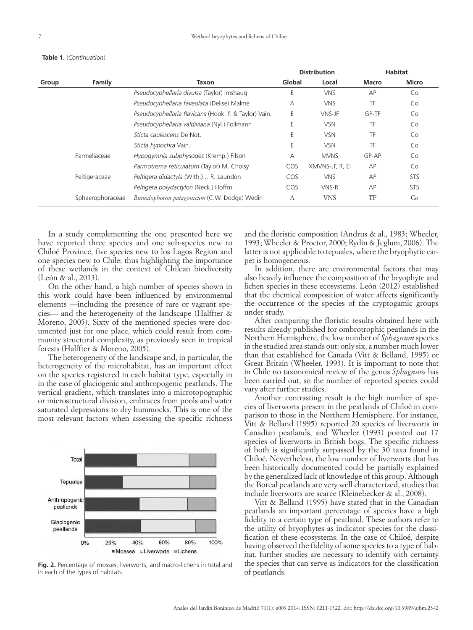|       | Family           | Taxon                                                 | <b>Distribution</b> |                 | <b>Habitat</b> |              |
|-------|------------------|-------------------------------------------------------|---------------------|-----------------|----------------|--------------|
| Group |                  |                                                       | Global              | Local           | Macro          | <b>Micro</b> |
|       |                  | Pseudocyphellaria divulsa (Taylor) Imshaug            | Е                   | <b>VNS</b>      | AP             | Co           |
|       |                  | Pseudocyphellaria faveolata (Delise) Malme            | А                   | <b>VNS</b>      | TF             | Co           |
|       |                  | Pseudocyphellaria flavicans (Hook. f. & Taylor) Vain. | Е                   | VNS-JF          | GP-TF          | Co           |
|       |                  | Pseudocyphellaria valdiviana (Nyl.) Follmann          | Е                   | <b>VSN</b>      | TF             | Co           |
|       |                  | Sticta caulescens De Not.                             | Е                   | <b>VSN</b>      | TF             | Co           |
|       |                  | Sticta hypochra Vain.                                 | Е                   | <b>VSN</b>      | TF             | Co           |
|       | Parmeliaceae     | Hypogymnia subphysodes (Kremp.) Filson                | А                   | <b>MVNS</b>     | GP-AP          | Co           |
|       |                  | Parmotrema reticulatum (Taylor) M. Choisy             | COS                 | XMVNS-JF, R, EI | AP             | Co           |
|       | Peltigeraceae    | Peltigera didactyla (With.) J. R. Laundon             | COS                 | <b>VNS</b>      | AP             | <b>STS</b>   |
|       |                  | Peltigera polydactylon (Neck.) Hoffm.                 | COS                 | VNS-R           | AP             | <b>STS</b>   |
|       | Sphaerophoraceae | Bunodophoron patagonicum (C.W. Dodge) Wedin           | А                   | <b>VNS</b>      | TF             | Co           |

**Table 1.** (*Continuation*)

In a study complementing the one presented here we have reported three species and one sub-species new to Chiloé Province, five species new to los Lagos Region and one species new to Chile; thus highlighting the importance of these wetlands in the context of Chilean biodiversity (León & al., 2013).

On the other hand, a high number of species shown in this work could have been influenced by environmental elements —including the presence of rare or vagrant species— and the heterogeneity of the landscape (Halffter & Moreno, 2005). Sixty of the mentioned species were documented just for one place, which could result from community structural complexity, as previously seen in tropical forests (Halffter & Moreno, 2005).

The heterogeneity of the landscape and, in particular, the heterogeneity of the microhabitat, has an important effect on the species registered in each habitat type, especially in in the case of glaciogenic and anthropogenic peatlands. The vertical gradient, which translates into a microtopographic or microstructural division, embraces from pools and water saturated depressions to dry hummocks. This is one of the most relevant factors when assessing the specific richness



**Fig. 2.** Percentage of mosses, liverworts, and macro-lichens in total and the species the species the card in each of peatlands. in each of the types of habitats.

and the floristic composition (Andrus & al., 1983; Wheeler, 1993; Wheeler & Proctor, 2000; Rydin & Jeglum, 2006). The latter is not applicable to tepuales, where the bryophytic carpet is homogeneous.

In addition, there are environmental factors that may also heavily influence the composition of the bryophyte and lichen species in these ecosystems. León (2012) established that the chemical composition of water affects significantly the occurrence of the species of the cryptogamic groups under study.

After comparing the floristic results obtained here with results already published for ombrotrophic peatlands in the Northern Hemisphere, the low number of *Sphagnum* species in the studied area stands out: only six, a number much lower than that established for Canada (Vitt & Belland, 1995) or Great Britain (Wheeler, 1993). It is important to note that in Chile no taxonomical review of the genus *Sphagnum* has been carried out, so the number of reported species could vary after further studies.

Another contrasting result is the high number of species of liverworts present in the peatlands of Chiloé in comparison to those in the Northern Hemisphere. For instance, Vitt & Belland (1995) reported 20 species of liverworts in Canadian peatlands, and Wheeler (1993) pointed out 17 species of liverworts in British bogs. The specific richness of both is significantly surpassed by the 30 taxa found in Chiloé. Nevertheless, the low number of liverworts that has been historically documented could be partially explained by the generalized lack of knowledge of this group. Although the Boreal peatlands are very well characterized, studies that include liverworts are scarce (Kleinebecker & al., 2008).

Vitt & Belland (1995) have stated that in the Canadian peatlands an important percentage of species have a high fidelity to a certain type of peatland. These authors refer to the utility of bryophytes as indicator species for the classification of these ecosystems. In the case of Chiloé, despite having observed the fidelity of some species to a type of habitat, further studies are necessary to identify with certainty the species that can serve as indicators for the classification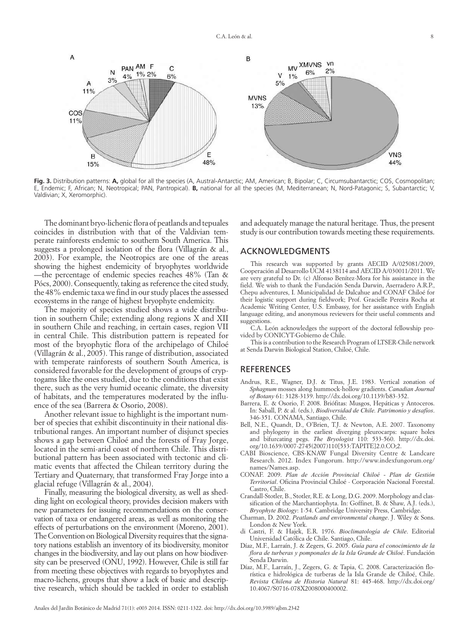

**Fig. 3.** Distribution patterns: **A,** global for all the species (A, Austral-Antarctic; AM, American; B, Bipolar; C, Circumsubantarctic; COS, Cosmopolitan; E, Endemic; F, African; N, Neotropical; PAN, Pantropical). **B,** national for all the species (M, Mediterranean; N, Nord-Patagonic; S, Subantarctic; V, Valdivian; X, Xeromorphic).

The dominant bryo-lichenic flora of peatlands and tepuales coincides in distribution with that of the Valdivian temperate rainforests endemic to southern South America. This suggests a prolonged isolation of the flora (Villagrán & al., 2003). For example, the Neotropics are one of the areas showing the highest endemicity of bryophytes worldwide —the percentage of endemic species reaches 48% (Tan & Pócs, 2000). Consequently, taking as reference the cited study, the 48% endemic taxa we find in our study places the assessed ecosystems in the range of highest bryophyte endemicity.

The majority of species studied shows a wide distribution in southern Chile; extending along regions X and XII in southern Chile and reaching, in certain cases, region VII in central Chile. This distribution pattern is repeated for most of the bryophytic flora of the archipelago of Chiloé (Villagrán & al., 2005). This range of distribution, associated with temperate rainforests of southern South America, is considered favorable for the development of groups of cryptogams like the ones studied, due to the conditions that exist there, such as the very humid oceanic climate, the diversity of habitats, and the temperatures moderated by the influence of the sea (Barrera & Osorio, 2008).

Another relevant issue to highlight is the important number of species that exhibit discontinuity in their national distributional ranges. An important number of disjunct species shows a gap between Chiloé and the forests of Fray Jorge, located in the semi-arid coast of northern Chile. This distributional pattern has been associated with tectonic and climatic events that affected the Chilean territory during the Tertiary and Quaternary, that transformed Fray Jorge into a glacial refuge (Villagrán & al., 2004).

Finally, measuring the biological diversity, as well as shedding light on ecological theory, provides decision makers with new parameters for issuing recommendations on the conservation of taxa or endangered areas, as well as monitoring the effects of perturbations on the environment (Moreno, 2001). The Convention on Biological Diversity requires that the signatory nations establish an inventory of its biodiversity, monitor changes in the biodiversity, and lay out plans on how biodiversity can be preserved (ONU, 1992). However, Chile is still far from meeting these objectives with regards to bryophytes and macro-lichens, groups that show a lack of basic and descriptive research, which should be tackled in order to establish

and adequately manage the natural heritage. Thus, the present study is our contribution towards meeting these requirements.

## ACKNOWLEDGMENTS

This research was supported by grants AECID A/025081/2009, Cooperación al Desarrollo UCM 4138114 and AECID A/030011/2011. We are very grateful to Dr. (c) Alfonso Benítez-Mora for his assistance in the field. We wish to thank the Fundación Senda Darwin, Aserradero A.R.P., Chepu adventures, I. Municipalidad de Dalcahue and CONAF Chiloé for their logistic support during fieldwork; Prof. Gracielle Pereira Rocha at Academic Writing Center, U.S. Embassy, for her assistance with English language editing, and anonymous reviewers for their useful comments and suggestions.

C.A. León acknowledges the support of the doctoral fellowship provided by CONICYT-Gobierno de Chile.

This is a contribution to the Research Program of LTSER-Chile network at Senda Darwin Biological Station, Chiloé, Chile.

# **REFERENCES**

- Andrus, R.E., Wagner, D.J. & Titus, J.E. 1983. Vertical zonation of *Sphagnum* mosses along hummock-hollow gradients. *Canadian Journal of Botany* 61: 3128-3139. <http://dx.doi.org/10.1139/b83-352>.
- Barrera, E. & Osorio, F. 2008. Briófitas: Musgos, Hepáticas y Antoceros. In: Saball, P. & al. (eds.), *Biodiversidad de Chile. Patrimonio y desafíos*. 346-351. CONAMA, Santiago, Chile.
- Bell, N.E., Quandt, D., O'Brien, T.J. & Newton, A.E. 2007. Taxonomy and phylogeny in the earliest diverging pleurocarps: square holes and bifurcating pegs. *The Bryologist* 110: 533-560. [http://dx.doi.](http://dx.doi.org/10.1639/0007-2745(2007)110[533:TAPITE]2.0.CO;2) [org/10.1639/0007-2745\(2007\)110\[533:TAPITE\]2.0.CO;2](http://dx.doi.org/10.1639/0007-2745(2007)110[533:TAPITE]2.0.CO;2).
- CABI Bioscience, CBS-KNAW Fungal Diversity Centre & Landcare Research. 2012. Index Fungorum. [http://www.indexfungorum.org/](http://www.indexfungorum.org/names/Names.asp) [names/Names.asp.](http://www.indexfungorum.org/names/Names.asp)
- CONAF. 2009. *Plan de Acción Provincial Chiloé Plan de Gestión Territorial*. Oficina Provincial Chiloé - Corporación Nacional Forestal. Castro, Chile.
- Crandall-Stotler, B., Stotler, R.E. & Long, D.G. 2009. Morphology and classification of the Marchantiophyta. In: Goffinet, B. & Shaw, A.J. (eds.), *Bryophyte Biology*: 1-54. Cambridge University Press, Cambridge.
- Charman, D. 2002. *Peatlands and environmental change*. J. Wiley & Sons. London & New York.
- di Castri, F. & Hajek, E.R. 1976. *Bioclimatología de Chile*. Editorial Universidad Católica de Chile. Santiago, Chile.
- Díaz, M.F., Larraín, J. & Zegers, G. 2005. *Guía para el conocimiento de la flora de turberas y pomponales de la Isla Grande de Chiloé*. Fundación Senda Darwin.
- Díaz, M.F., Larraín, J., Zegers, G. & Tapia, C. 2008. Caracterización florística e hidrológica de turberas de la Isla Grande de Chiloé, Chile. *Revista Chilena de Historia Natural* 81: 445-468. [http://dx.doi.org/](http://dx.doi.org/10.4067/S0716-078X2008000400002) [10.4067/S0716-078X2008000400002](http://dx.doi.org/10.4067/S0716-078X2008000400002).